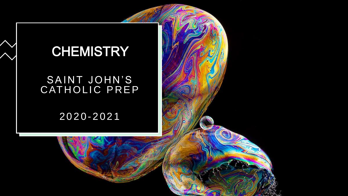### **CHEMISTRY**

#### SAINT JOHN'S CATHOLIC PREP

#### 2020 - 2021

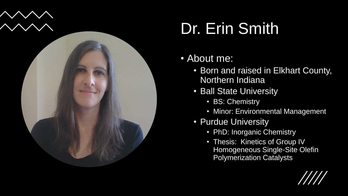

### Dr. Erin Smith

#### • About me:

- Born and raised in Elkhart County, Northern Indiana
- Ball State University
	- BS: Chemistry
	- Minor: Environmental Management
- Purdue University
	- PhD: Inorganic Chemistry
	- Thesis: Kinetics of Group IV Homogeneous Single-Site Olefin Polymerization Catalysts

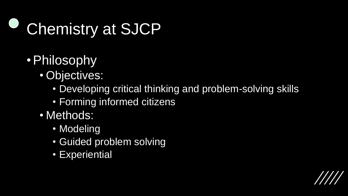## Chemistry at SJCP

- •Philosophy
	- Objectives:
		- Developing critical thinking and problem-solving skills
		- Forming informed citizens
	- Methods:
		- Modeling
		- Guided problem solving
		- Experiential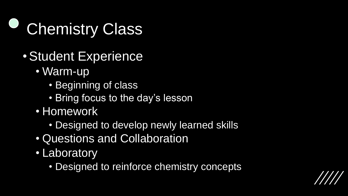

- •Student Experience
	- Warm-up
		- Beginning of class
		- Bring focus to the day's lesson
	- Homework
		- Designed to develop newly learned skills
	- Questions and Collaboration
	- Laboratory
		- Designed to reinforce chemistry concepts

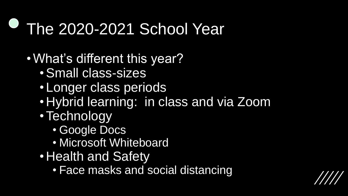### The 2020-2021 School Year

- •What's different this year?
	- •Small class-sizes
	- Longer class periods
	- Hybrid learning: in class and via Zoom
	- •Technology
		- Google Docs
		- Microsoft Whiteboard
	- Health and Safety
		- Face masks and social distancing

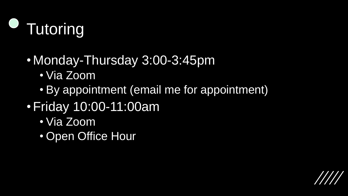

- Monday-Thursday 3:00-3:45pm
	- Via Zoom
	- By appointment (email me for appointment)
- •Friday 10:00-11:00am
	- Via Zoom
	- Open Office Hour

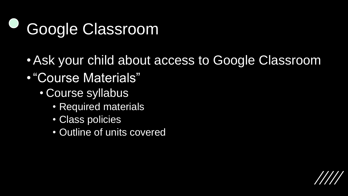# Google Classroom

- •Ask your child about access to Google Classroom
- •"Course Materials"
	- Course syllabus
		- Required materials
		- Class policies
		- Outline of units covered